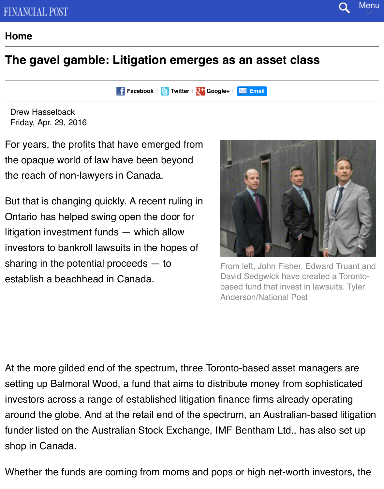#### **F** Facebook | **C** Twitter | 2<sup>+</sup> Google+ | **M** Email

[Drew H](http://www.financialpost.com/m/)asselback Friday, Apr. 29, 2016

For years, the profits that have emerged from the opaque world of law [have been](http://www.facebook.com/sharer.php?u=http%3a%2f%2fbusiness.financialpost.com%2flegal-post%2fthe-gavel-gamble-litigation-emerges-as-an-asset-class&t=Financial+Post%3a+The+gavel+gamble%3a+Litigation+emerges+as+an+asset+class) [beyond](http://www.financialpost.com/m/twitter.html?status=RT+@financialpost%3a+The+gavel+gamble%3a+Litigation+emerges+as+an+asset+class&long-url=http://business.financialpost.com/legal-post/the-gavel-gamble-litigation-emerges-as-an-asset-class) the reach of non-lawyers in Canada.

But that is changing quickly. A recent ruling in Ontario has helped swing open the door for litigation investment funds — which allow investors to bankroll lawsuits in the hopes of sharing in the potential proceeds — to establish a beachhead in Canada.



From left, John Fisher, Edv David Sedgwick have creat based fund that invest in la Anderson/National Post

At the more gilded end of the spectrum, three Toronto-based asset man setting up Balmoral Wood, a fund that aims to distribute money from sop investors across a range of established litigation finance firms already operation around the globe. And at the retail end of the spectrum, an Australian-ba funder listed on the Australian Stock Exchange, IMF Bentham Ltd., has shop in Canada.

Whether the funds are coming from moms and pops or high net-worth in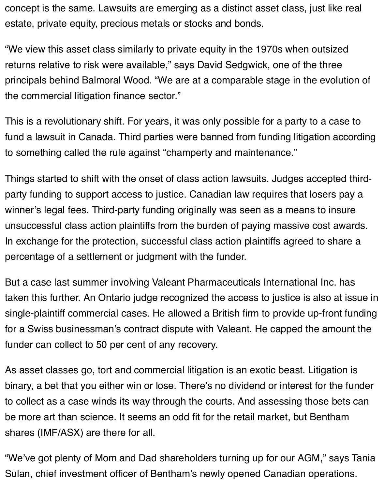concept is the same. Lawsuits are emerging as a distinct asset class, just like real estate, private equity, precious metals or stocks and bonds.

"We view this asset class similarly to private equity in the 1970s when outsized returns relative to risk were available," says David Sedgwick, one of the three principals behind Balmoral Wood. "We are at a comparable stage in the evolution of the commercial litigation finance sector."

This is a revolutionary shift. For years, it was only possible for a party to a case to fund a lawsuit in Canada. Third parties were banned from funding litigation according to something called the rule against "champerty and maintenance."

Things started to shift with the onset of class action lawsuits. Judges accepted thirdparty funding to support access to justice. Canadian law requires that losers pay a winner's legal fees. Third-party funding originally was seen as a means to insure unsuccessful class action plaintiffs from the burden of paying massive cost awards. In exchange for the protection, successful class action plaintiffs agreed to share a percentage of a settlement or judgment with the funder.

But a case last summer involving Valeant Pharmaceuticals International Inc. has taken this further. An Ontario judge recognized the access to justice is also at issue in single-plaintiff commercial cases. He allowed a British firm to provide up-front funding for a Swiss businessman's contract dispute with Valeant. He capped the amount the funder can collect to 50 per cent of any recovery.

As asset classes go, tort and commercial litigation is an exotic beast. Litigation is binary, a bet that you either win or lose. There's no dividend or interest for the funder to collect as a case winds its way through the courts. And assessing those bets can be more art than science. It seems an odd fit for the retail market, but Bentham shares (IMF/ASX) are there for all.

"We've got plenty of Mom and Dad shareholders turning up for our AGM," says Tania Sulan, chief investment officer of Bentham's newly opened Canadian operations.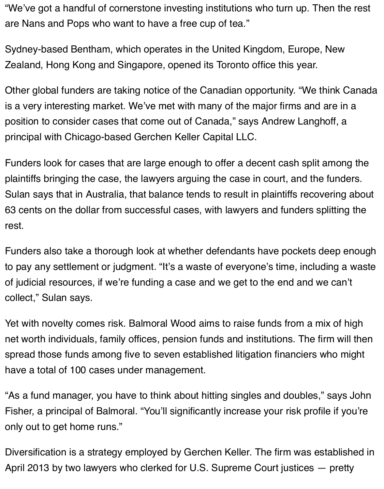"We've got a handful of cornerstone investing institutions who turn up. Then the rest are Nans and Pops who want to have a free cup of tea."

Sydney-based Bentham, which operates in the United Kingdom, Europe, New Zealand, Hong Kong and Singapore, opened its Toronto office this year.

Other global funders are taking notice of the Canadian opportunity. "We think Canada is a very interesting market. We've met with many of the major firms and are in a position to consider cases that come out of Canada," says Andrew Langhoff, a principal with Chicago-based Gerchen Keller Capital LLC.

Funders look for cases that are large enough to offer a decent cash split among the plaintiffs bringing the case, the lawyers arguing the case in court, and the funders. Sulan says that in Australia, that balance tends to result in plaintiffs recovering about 63 cents on the dollar from successful cases, with lawyers and funders splitting the rest.

Funders also take a thorough look at whether defendants have pockets deep enough to pay any settlement or judgment. "It's a waste of everyone's time, including a waste of judicial resources, if we're funding a case and we get to the end and we can't collect," Sulan says.

Yet with novelty comes risk. Balmoral Wood aims to raise funds from a mix of high net worth individuals, family offices, pension funds and institutions. The firm will then spread those funds among five to seven established litigation financiers who might have a total of 100 cases under management.

"As a fund manager, you have to think about hitting singles and doubles," says John Fisher, a principal of Balmoral. "You'll significantly increase your risk profile if you're only out to get home runs."

Diversification is a strategy employed by Gerchen Keller. The firm was established in April 2013 by two lawyers who clerked for U.S. Supreme Court justices — pretty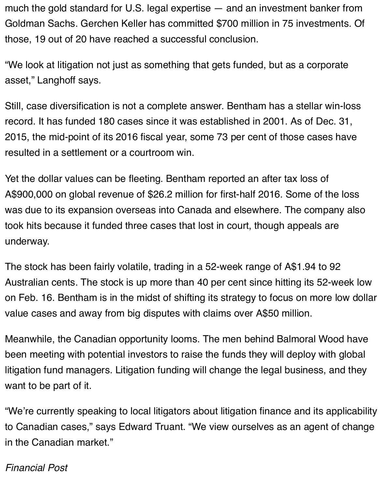much the gold standard for U.S. legal expertise — and an investment banker from Goldman Sachs. Gerchen Keller has committed \$700 million in 75 investments. Of those, 19 out of 20 have reached a successful conclusion.

"We look at litigation not just as something that gets funded, but as a corporate asset," Langhoff says.

Still, case diversification is not a complete answer. Bentham has a stellar win-loss record. It has funded 180 cases since it was established in 2001. As of Dec. 31, 2015, the mid-point of its 2016 fiscal year, some 73 per cent of those cases have resulted in a settlement or a courtroom win.

Yet the dollar values can be fleeting. Bentham reported an after tax loss of A\$900,000 on global revenue of \$26.2 million for first-half 2016. Some of the loss was due to its expansion overseas into Canada and elsewhere. The company also took hits because it funded three cases that lost in court, though appeals are underway.

The stock has been fairly volatile, trading in a 52-week range of A\$1.94 to 92 Australian cents. The stock is up more than 40 per cent since hitting its 52-week low on Feb. 16. Bentham is in the midst of shifting its strategy to focus on more low dollar value cases and away from big disputes with claims over A\$50 million.

Meanwhile, the Canadian opportunity looms. The men behind Balmoral Wood have been meeting with potential investors to raise the funds they will deploy with global litigation fund managers. Litigation funding will change the legal business, and they want to be part of it.

"We're currently speaking to local litigators about litigation finance and its applicability to Canadian cases," says Edward Truant. "We view ourselves as an agent of change in the Canadian market."

### *Financial Post*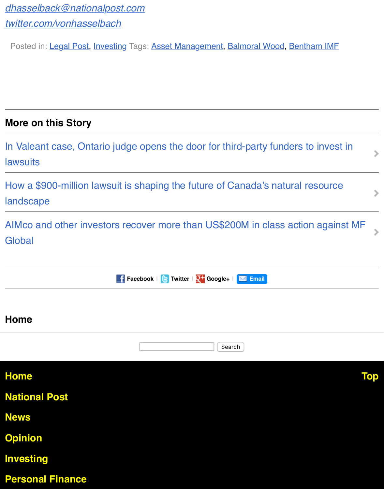### **More on [this Story](http://www.financialpost.com/m/wp/legal-post/)**

In Valeant case, Ontario judge opens the door for third-party funders to in lawsuits

How a \$900-million lawsuit is shaping the future of Canada's natural res landscape

AIMco and other investors recover more than US\$200M in class action a **Global** 

|                         | <b>f</b> Facebook $\mathbf{E}$ Twitter $\mathbf{R}^+$ Google+ $\mathbf{R}^-$ Email |
|-------------------------|------------------------------------------------------------------------------------|
|                         |                                                                                    |
| <b>Home</b>             |                                                                                    |
|                         | Search                                                                             |
| <b>Home</b>             |                                                                                    |
| <b>National Post</b>    |                                                                                    |
| <b>News</b>             |                                                                                    |
| <b>Opinion</b>          |                                                                                    |
| <b>Investing</b>        |                                                                                    |
| <b>Personal Finance</b> |                                                                                    |